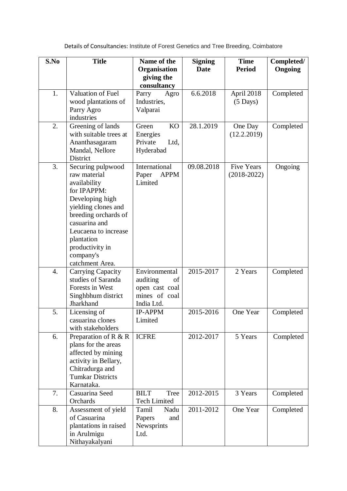| S.No             | <b>Title</b>                 | Name of the                | <b>Signing</b> | <b>Time</b>        | Completed/ |
|------------------|------------------------------|----------------------------|----------------|--------------------|------------|
|                  |                              | Organisation               | <b>Date</b>    | <b>Period</b>      | Ongoing    |
|                  |                              | giving the                 |                |                    |            |
|                  |                              | consultancy                |                |                    |            |
| 1.               | Valuation of Fuel            | Parry<br>Agro              | 6.6.2018       | April 2018         | Completed  |
|                  | wood plantations of          | Industries,                |                | $(5 \text{ Days})$ |            |
|                  | Parry Agro                   | Valparai                   |                |                    |            |
|                  | industries                   |                            |                |                    |            |
| 2.               | Greening of lands            | <b>KO</b><br>Green         | 28.1.2019      | One Day            | Completed  |
|                  | with suitable trees at       | Energies                   |                | (12.2.2019)        |            |
|                  | Ananthasagaram               | Private<br>Ltd,            |                |                    |            |
|                  | Mandal, Nellore              | Hyderabad                  |                |                    |            |
|                  | District                     |                            |                |                    |            |
| 3.               | Securing pulpwood            | International              | 09.08.2018     | <b>Five Years</b>  | Ongoing    |
|                  | raw material                 | <b>APPM</b><br>Paper       |                | $(2018-2022)$      |            |
|                  | availability                 | Limited                    |                |                    |            |
|                  | for IPAPPM:                  |                            |                |                    |            |
|                  | Developing high              |                            |                |                    |            |
|                  | yielding clones and          |                            |                |                    |            |
|                  | breeding orchards of         |                            |                |                    |            |
|                  | casuarina and                |                            |                |                    |            |
|                  | Leucaena to increase         |                            |                |                    |            |
|                  | plantation                   |                            |                |                    |            |
|                  | productivity in              |                            |                |                    |            |
|                  | company's<br>catchment Area. |                            |                |                    |            |
| $\overline{4}$ . | Carrying Capacity            | Environmental              | 2015-2017      | 2 Years            | Completed  |
|                  | studies of Saranda           | auditing<br>of             |                |                    |            |
|                  | Forests in West              | open cast coal             |                |                    |            |
|                  | Singhbhum district           | mines of coal              |                |                    |            |
|                  | Jharkhand                    | India Ltd.                 |                |                    |            |
| 5.               | Licensing of                 | <b>IP-APPM</b>             | 2015-2016      | One Year           | Completed  |
|                  | casuarina clones             | Limited                    |                |                    |            |
|                  | with stakeholders            |                            |                |                    |            |
| 6.               | Preparation of $R \& R$      | <b>ICFRE</b>               | 2012-2017      | 5 Years            | Completed  |
|                  | plans for the areas          |                            |                |                    |            |
|                  | affected by mining           |                            |                |                    |            |
|                  | activity in Bellary,         |                            |                |                    |            |
|                  | Chitradurga and              |                            |                |                    |            |
|                  | <b>Tumkar Districts</b>      |                            |                |                    |            |
|                  | Karnataka.                   |                            |                |                    |            |
| 7.               | Casuarina Seed               | <b>BILT</b><br><b>Tree</b> | 2012-2015      | 3 Years            | Completed  |
|                  | Orchards                     | <b>Tech Limited</b>        |                |                    |            |
| 8.               | Assessment of yield          | Tamil<br>Nadu              | $2011 - 2012$  | One Year           | Completed  |
|                  | of Casuarina                 | Papers<br>and              |                |                    |            |
|                  | plantations in raised        | Newsprints                 |                |                    |            |
|                  | in Arulmigu                  | Ltd.                       |                |                    |            |
|                  | Nithayakalyani               |                            |                |                    |            |

Details of Consultancies: [Institute of Forest Genetics and Tree Breeding, Coimbatore](http://icfre.org/mou-signed/IFGTB-MoU.pdf)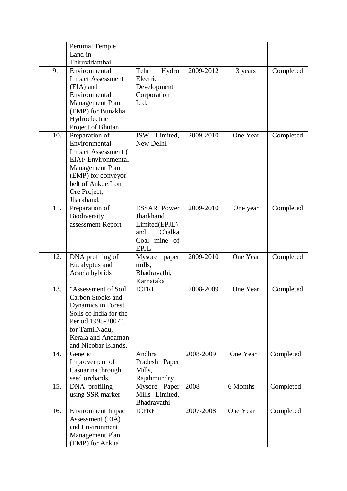|     | Perumal Temple                               |                    |               |          |           |
|-----|----------------------------------------------|--------------------|---------------|----------|-----------|
|     | Land in                                      |                    |               |          |           |
|     | Thiruvidanthai                               |                    |               |          |           |
| 9.  | Environmental                                | Tehri<br>Hydro     | 2009-2012     | 3 years  | Completed |
|     | <b>Impact Assessment</b>                     | Electric           |               |          |           |
|     | (EIA) and                                    | Development        |               |          |           |
|     | Environmental                                | Corporation        |               |          |           |
|     | Management Plan                              | Ltd.               |               |          |           |
|     | (EMP) for Bunakha                            |                    |               |          |           |
|     | Hydroelectric                                |                    |               |          |           |
|     | Project of Bhutan                            |                    |               |          |           |
| 10. | Preparation of                               | JSW Limited,       | $2009 - 2010$ | One Year | Completed |
|     | Environmental                                | New Delhi.         |               |          |           |
|     | <b>Impact Assessment</b> (                   |                    |               |          |           |
|     | EIA)/ Environmental                          |                    |               |          |           |
|     | Management Plan                              |                    |               |          |           |
|     | (EMP) for conveyor<br>belt of Ankue Iron     |                    |               |          |           |
|     | Ore Project,                                 |                    |               |          |           |
|     | Jharkhand.                                   |                    |               |          |           |
| 11. | Preparation of                               | <b>ESSAR Power</b> | 2009-2010     | One year | Completed |
|     | <b>Biodiversity</b>                          | Jharkhand          |               |          |           |
|     | assessment Report                            | Limited(EPJL)      |               |          |           |
|     |                                              | Chalka<br>and      |               |          |           |
|     |                                              | Coal mine of       |               |          |           |
|     |                                              | <b>EPJL</b>        |               |          |           |
| 12. | DNA profiling of                             | Mysore<br>paper    | 2009-2010     | One Year | Completed |
|     | Eucalyptus and                               | mills,             |               |          |           |
|     | Acacia hybrids                               | Bhadravathi,       |               |          |           |
|     |                                              | Karnataka          |               |          |           |
| 13. | "Assessment of Soil                          | <b>ICFRE</b>       | 2008-2009     | One Year | Completed |
|     | Carbon Stocks and                            |                    |               |          |           |
|     | Dynamics in Forest                           |                    |               |          |           |
|     | Soils of India for the<br>Period 1995-2007", |                    |               |          |           |
|     | for TamilNadu,                               |                    |               |          |           |
|     | Kerala and Andaman                           |                    |               |          |           |
|     | and Nicobar Islands.                         |                    |               |          |           |
| 14. | Genetic                                      | Andhra             | 2008-2009     | One Year | Completed |
|     | Improvement of                               | Pradesh Paper      |               |          |           |
|     | Casuarina through                            | Mills,             |               |          |           |
|     | seed orchards.                               | Rajahmundry        |               |          |           |
| 15. | DNA profiling                                | Mysore Paper       | 2008          | 6 Months | Completed |
|     | using SSR marker                             | Mills Limited,     |               |          |           |
|     |                                              | Bhadravathi        |               |          |           |
| 16. | <b>Environment Impact</b>                    | <b>ICFRE</b>       | 2007-2008     | One Year | Completed |
|     | Assessment (EIA)                             |                    |               |          |           |
|     | and Environment                              |                    |               |          |           |
|     | Management Plan                              |                    |               |          |           |
|     | (EMP) for Ankua                              |                    |               |          |           |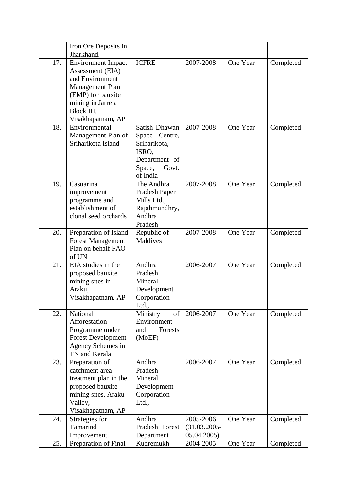|     | Iron Ore Deposits in      |                         |                 |          |           |
|-----|---------------------------|-------------------------|-----------------|----------|-----------|
|     | Jharkhand.                |                         |                 |          |           |
| 17. | <b>Environment Impact</b> | <b>ICFRE</b>            | 2007-2008       | One Year | Completed |
|     | Assessment (EIA)          |                         |                 |          |           |
|     | and Environment           |                         |                 |          |           |
|     | <b>Management Plan</b>    |                         |                 |          |           |
|     | (EMP) for bauxite         |                         |                 |          |           |
|     | mining in Jarrela         |                         |                 |          |           |
|     | Block III,                |                         |                 |          |           |
|     | Visakhapatnam, AP         |                         |                 |          |           |
| 18. | Environmental             | Satish Dhawan           | 2007-2008       | One Year | Completed |
|     | Management Plan of        | Space Centre,           |                 |          |           |
|     | Sriharikota Island        | Sriharikota,            |                 |          |           |
|     |                           | ISRO,                   |                 |          |           |
|     |                           | Department of           |                 |          |           |
|     |                           | Space,<br>Govt.         |                 |          |           |
|     |                           | of India                |                 |          |           |
| 19. | Casuarina                 | The Andhra              | 2007-2008       | One Year | Completed |
|     | improvement               | Pradesh Paper           |                 |          |           |
|     | programme and             | Mills Ltd.,             |                 |          |           |
|     | establishment of          | Rajahmundhry,           |                 |          |           |
|     | clonal seed orchards      | Andhra                  |                 |          |           |
|     |                           | Pradesh                 |                 |          |           |
| 20. | Preparation of Island     | Republic of             | 2007-2008       | One Year | Completed |
|     | <b>Forest Management</b>  | <b>Maldives</b>         |                 |          |           |
|     | Plan on behalf FAO        |                         |                 |          |           |
|     | of UN                     |                         |                 |          |           |
| 21. | EIA studies in the        | Andhra                  | 2006-2007       | One Year | Completed |
|     | proposed bauxite          | Pradesh                 |                 |          |           |
|     | mining sites in           | Mineral                 |                 |          |           |
|     | Araku,                    | Development             |                 |          |           |
|     | Visakhapatnam, AP         | Corporation             |                 |          |           |
| 22. | National                  | Ltd.,<br>Ministry<br>of | 2006-2007       | One Year | Completed |
|     | Afforestation             | Environment             |                 |          |           |
|     | Programme under           | Forests<br>and          |                 |          |           |
|     | <b>Forest Development</b> | (MoEF)                  |                 |          |           |
|     | Agency Schemes in         |                         |                 |          |           |
|     | TN and Kerala             |                         |                 |          |           |
| 23. | Preparation of            | Andhra                  | 2006-2007       | One Year | Completed |
|     | catchment area            | Pradesh                 |                 |          |           |
|     | treatment plan in the     | Mineral                 |                 |          |           |
|     | proposed bauxite          | Development             |                 |          |           |
|     | mining sites, Araku       | Corporation             |                 |          |           |
|     | Valley,                   | Ltd.,                   |                 |          |           |
|     | Visakhapatnam, AP         |                         |                 |          |           |
| 24. | Strategies for            | Andhra                  | 2005-2006       | One Year | Completed |
|     | Tamarind                  | Pradesh Forest          | $(31.03.2005 -$ |          |           |
|     | Improvement.              | Department              | 05.04.2005)     |          |           |
| 25. | Preparation of Final      | Kudremukh               | 2004-2005       | One Year | Completed |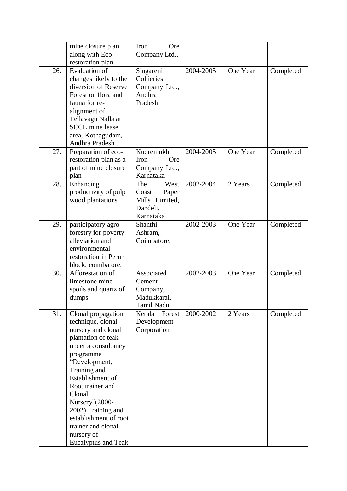|     | mine closure plan          | Iron<br><b>Ore</b> |           |          |           |
|-----|----------------------------|--------------------|-----------|----------|-----------|
|     | along with Eco             | Company Ltd.,      |           |          |           |
|     | restoration plan.          |                    |           |          |           |
| 26. | <b>Evaluation of</b>       | Singareni          | 2004-2005 | One Year | Completed |
|     | changes likely to the      | Collieries         |           |          |           |
|     | diversion of Reserve       | Company Ltd.,      |           |          |           |
|     | Forest on flora and        | Andhra             |           |          |           |
|     | fauna for re-              | Pradesh            |           |          |           |
|     | alignment of               |                    |           |          |           |
|     | Tellavagu Nalla at         |                    |           |          |           |
|     | <b>SCCL</b> mine lease     |                    |           |          |           |
|     | area, Kothagudam,          |                    |           |          |           |
|     | Andhra Pradesh             |                    |           |          |           |
| 27. | Preparation of eco-        | Kudremukh          | 2004-2005 | One Year | Completed |
|     | restoration plan as a      | <b>Ore</b><br>Iron |           |          |           |
|     | part of mine closure       | Company Ltd.,      |           |          |           |
|     | plan                       | Karnataka          |           |          |           |
| 28. | Enhancing                  | The<br>West        | 2002-2004 | 2 Years  | Completed |
|     | productivity of pulp       | Coast<br>Paper     |           |          |           |
|     | wood plantations           | Mills Limited,     |           |          |           |
|     |                            | Dandeli,           |           |          |           |
|     |                            | Karnataka          |           |          |           |
| 29. | participatory agro-        | Shanthi            | 2002-2003 | One Year | Completed |
|     | forestry for poverty       | Ashram,            |           |          |           |
|     | alleviation and            | Coimbatore.        |           |          |           |
|     | environmental              |                    |           |          |           |
|     | restoration in Perur       |                    |           |          |           |
|     | block, coimbatore.         |                    |           |          |           |
| 30. | Afforestation of           | Associated         | 2002-2003 | One Year | Completed |
|     | limestone mine             | Cement             |           |          |           |
|     | spoils and quartz of       | Company,           |           |          |           |
|     | dumps                      | Madukkarai,        |           |          |           |
|     |                            | Tamil Nadu         |           |          |           |
| 31. | Clonal propagation         | Kerala<br>Forest   | 2000-2002 | 2 Years  | Completed |
|     | technique, clonal          | Development        |           |          |           |
|     | nursery and clonal         | Corporation        |           |          |           |
|     | plantation of teak         |                    |           |          |           |
|     | under a consultancy        |                    |           |          |           |
|     | programme                  |                    |           |          |           |
|     | "Development,              |                    |           |          |           |
|     | Training and               |                    |           |          |           |
|     | Establishment of           |                    |           |          |           |
|     | Root trainer and           |                    |           |          |           |
|     | Clonal                     |                    |           |          |           |
|     | Nursery"(2000-             |                    |           |          |           |
|     | 2002). Training and        |                    |           |          |           |
|     | establishment of root      |                    |           |          |           |
|     | trainer and clonal         |                    |           |          |           |
|     | nursery of                 |                    |           |          |           |
|     | <b>Eucalyptus and Teak</b> |                    |           |          |           |